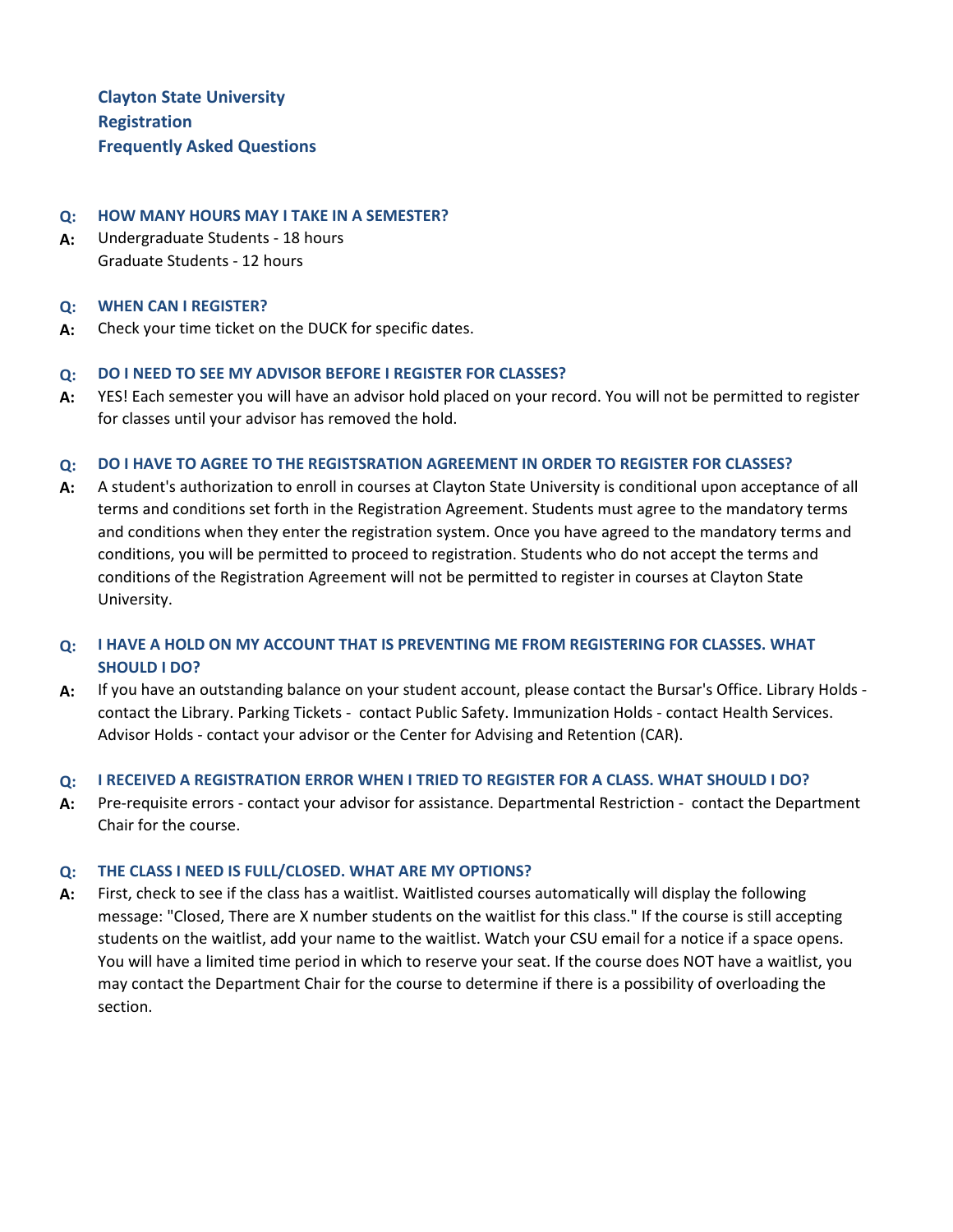**Clayton State University Registration Frequently Asked Questions**

## **Q: HOW MANY HOURS MAY I TAKE IN A SEMESTER?**

**A:** Undergraduate Students - 18 hours Graduate Students - 12 hours

### **Q: WHEN CAN I REGISTER?**

**A:** Check your time ticket on the DUCK for specific dates.

## **Q: DO I NEED TO SEE MY ADVISOR BEFORE I REGISTER FOR CLASSES?**

**A:** YES! Each semester you will have an advisor hold placed on your record. You will not be permitted to register for classes until your advisor has removed the hold.

## **Q: DO I HAVE TO AGREE TO THE REGISTSRATION AGREEMENT IN ORDER TO REGISTER FOR CLASSES?**

**A:** A student's authorization to enroll in courses at Clayton State University is conditional upon acceptance of all terms and conditions set forth in the Registration Agreement. Students must agree to the mandatory terms and conditions when they enter the registration system. Once you have agreed to the mandatory terms and conditions, you will be permitted to proceed to registration. Students who do not accept the terms and conditions of the Registration Agreement will not be permitted to register in courses at Clayton State University.

# **Q: I HAVE A HOLD ON MY ACCOUNT THAT IS PREVENTING ME FROM REGISTERING FOR CLASSES. WHAT SHOULD I DO?**

**A:** If you have an outstanding balance on your student account, please contact the Bursar's Office. Library Holds contact the Library. Parking Tickets - contact Public Safety. Immunization Holds - contact Health Services. Advisor Holds - contact your advisor or the Center for Advising and Retention (CAR).

### **Q: I RECEIVED A REGISTRATION ERROR WHEN I TRIED TO REGISTER FOR A CLASS. WHAT SHOULD I DO?**

**A:** Pre-requisite errors - contact your advisor for assistance. Departmental Restriction - contact the Department Chair for the course.

## **Q: THE CLASS I NEED IS FULL/CLOSED. WHAT ARE MY OPTIONS?**

**A:** First, check to see if the class has a waitlist. Waitlisted courses automatically will display the following message: "Closed, There are X number students on the waitlist for this class." If the course is still accepting students on the waitlist, add your name to the waitlist. Watch your CSU email for a notice if a space opens. You will have a limited time period in which to reserve your seat. If the course does NOT have a waitlist, you may contact the Department Chair for the course to determine if there is a possibility of overloading the section.